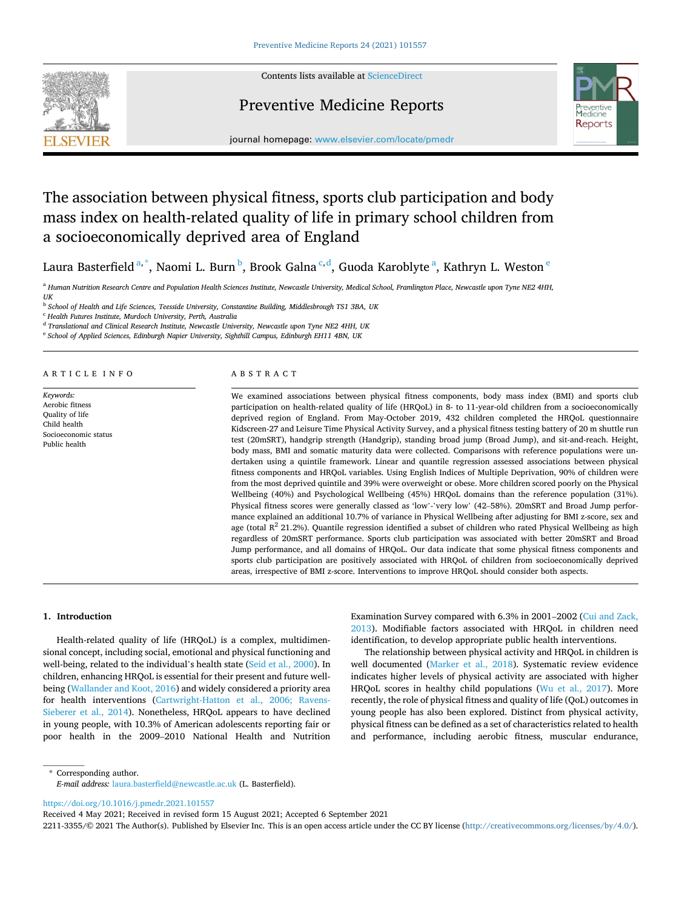

Contents lists available at [ScienceDirect](www.sciencedirect.com/science/journal/22113355)

## Preventive Medicine Reports



journal homepage: [www.elsevier.com/locate/pmedr](https://www.elsevier.com/locate/pmedr) 

# The association between physical fitness, sports club participation and body mass index on health-related quality of life in primary school children from a socioeconomically deprived area of England

Laura Basterfield<sup>a,\*</sup>, Naomi L. Burn<sup>b</sup>, Brook Galna<sup>c,d</sup>, Guoda Karoblyte<sup>a</sup>, Kathryn L. Weston<sup>e</sup>

<sup>a</sup> Human Nutrition Research Centre and Population Health Sciences Institute, Newcastle University, Medical School, Framlington Place, Newcastle upon Tyne NE2 4HH, *UK* 

<sup>b</sup> *School of Health and Life Sciences, Teesside University, Constantine Building, Middlesbrough TS1 3BA, UK* 

<sup>c</sup> *Health Futures Institute, Murdoch University, Perth, Australia* 

<sup>d</sup> *Translational and Clinical Research Institute, Newcastle University, Newcastle upon Tyne NE2 4HH, UK* 

<sup>e</sup> *School of Applied Sciences, Edinburgh Napier University, Sighthill Campus, Edinburgh EH11 4BN, UK* 

### ARTICLE INFO

*Keywords:*  Aerobic fitness Quality of life Child health Socioeconomic status Public health

### ABSTRACT

We examined associations between physical fitness components, body mass index (BMI) and sports club participation on health-related quality of life (HRQoL) in 8- to 11-year-old children from a socioeconomically deprived region of England. From May-October 2019, 432 children completed the HRQoL questionnaire Kidscreen-27 and Leisure Time Physical Activity Survey, and a physical fitness testing battery of 20 m shuttle run test (20mSRT), handgrip strength (Handgrip), standing broad jump (Broad Jump), and sit-and-reach. Height, body mass, BMI and somatic maturity data were collected. Comparisons with reference populations were undertaken using a quintile framework. Linear and quantile regression assessed associations between physical fitness components and HRQoL variables. Using English Indices of Multiple Deprivation, 90% of children were from the most deprived quintile and 39% were overweight or obese. More children scored poorly on the Physical Wellbeing (40%) and Psychological Wellbeing (45%) HRQoL domains than the reference population (31%). Physical fitness scores were generally classed as 'low'-'very low' (42–58%). 20mSRT and Broad Jump performance explained an additional 10.7% of variance in Physical Wellbeing after adjusting for BMI z-score, sex and age (total  $R^2$  21.2%). Quantile regression identified a subset of children who rated Physical Wellbeing as high regardless of 20mSRT performance. Sports club participation was associated with better 20mSRT and Broad Jump performance, and all domains of HRQoL. Our data indicate that some physical fitness components and sports club participation are positively associated with HRQoL of children from socioeconomically deprived areas, irrespective of BMI z-score. Interventions to improve HRQoL should consider both aspects.

### **1. Introduction**

Health-related quality of life (HRQoL) is a complex, multidimensional concept, including social, emotional and physical functioning and well-being, related to the individual's health state ([Seid et al., 2000](#page-6-0)). In children, enhancing HRQoL is essential for their present and future wellbeing ([Wallander and Koot, 2016\)](#page-6-0) and widely considered a priority area for health interventions [\(Cartwright-Hatton et al., 2006; Ravens-](#page-5-0)[Sieberer et al., 2014](#page-5-0)). Nonetheless, HRQoL appears to have declined in young people, with 10.3% of American adolescents reporting fair or poor health in the 2009–2010 National Health and Nutrition

Examination Survey compared with 6.3% in 2001–2002 [\(Cui and Zack,](#page-5-0)  [2013\)](#page-5-0). Modifiable factors associated with HRQoL in children need identification, to develop appropriate public health interventions.

The relationship between physical activity and HRQoL in children is well documented ([Marker et al., 2018](#page-6-0)). Systematic review evidence indicates higher levels of physical activity are associated with higher HRQoL scores in healthy child populations ([Wu et al., 2017](#page-6-0)). More recently, the role of physical fitness and quality of life (QoL) outcomes in young people has also been explored. Distinct from physical activity, physical fitness can be defined as a set of characteristics related to health and performance, including aerobic fitness, muscular endurance,

\* Corresponding author. *E-mail address:* [laura.basterfield@newcastle.ac.uk](mailto:laura.basterfield@newcastle.ac.uk) (L. Basterfield).

<https://doi.org/10.1016/j.pmedr.2021.101557>

Received 4 May 2021; Received in revised form 15 August 2021; Accepted 6 September 2021

2211-3355/© 2021 The Author(s). Published by Elsevier Inc. This is an open access article under the CC BY license [\(http://creativecommons.org/licenses/by/4.0/\)](http://creativecommons.org/licenses/by/4.0/).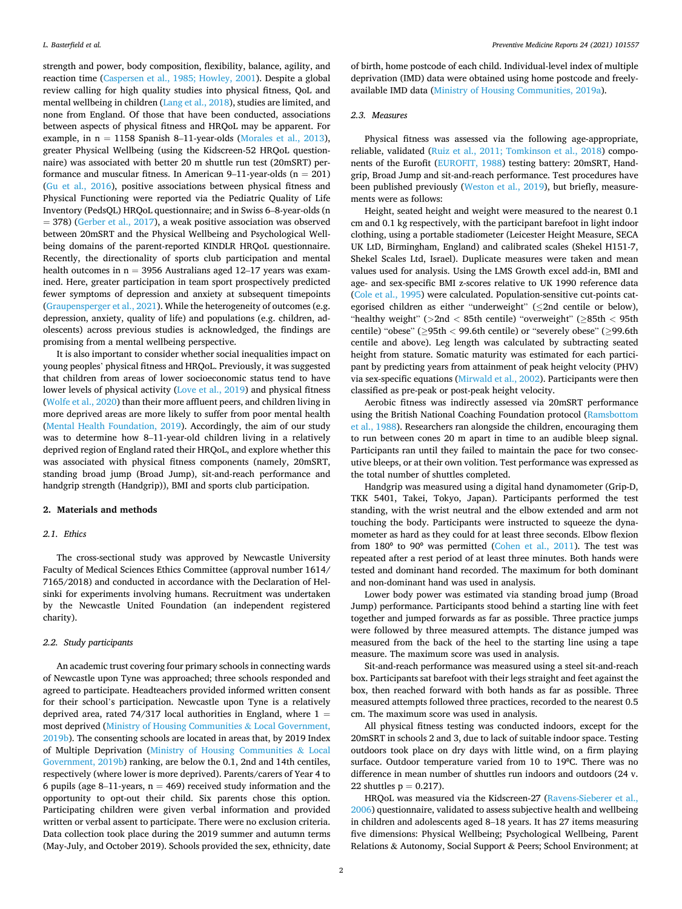strength and power, body composition, flexibility, balance, agility, and reaction time [\(Caspersen et al., 1985; Howley, 2001\)](#page-5-0). Despite a global review calling for high quality studies into physical fitness, QoL and mental wellbeing in children ([Lang et al., 2018](#page-6-0)), studies are limited, and none from England. Of those that have been conducted, associations between aspects of physical fitness and HRQoL may be apparent. For example, in  $n = 1158$  Spanish 8-11-year-olds [\(Morales et al., 2013](#page-6-0)), greater Physical Wellbeing (using the Kidscreen-52 HRQoL questionnaire) was associated with better 20 m shuttle run test (20mSRT) performance and muscular fitness. In American 9–11-year-olds  $(n = 201)$ ([Gu et al., 2016](#page-6-0)), positive associations between physical fitness and Physical Functioning were reported via the Pediatric Quality of Life Inventory (PedsQL) HRQoL questionnaire; and in Swiss 6–8-year-olds (n = 378) [\(Gerber et al., 2017\)](#page-5-0), a weak positive association was observed between 20mSRT and the Physical Wellbeing and Psychological Wellbeing domains of the parent-reported KINDLR HRQoL questionnaire. Recently, the directionality of sports club participation and mental health outcomes in  $n = 3956$  Australians aged 12–17 years was examined. Here, greater participation in team sport prospectively predicted fewer symptoms of depression and anxiety at subsequent timepoints ([Graupensperger et al., 2021](#page-6-0)). While the heterogeneity of outcomes (e.g. depression, anxiety, quality of life) and populations (e.g. children, adolescents) across previous studies is acknowledged, the findings are promising from a mental wellbeing perspective.

It is also important to consider whether social inequalities impact on young peoples' physical fitness and HRQoL. Previously, it was suggested that children from areas of lower socioeconomic status tend to have lower levels of physical activity ([Love et al., 2019\)](#page-6-0) and physical fitness ([Wolfe et al., 2020\)](#page-6-0) than their more affluent peers, and children living in more deprived areas are more likely to suffer from poor mental health ([Mental Health Foundation, 2019](#page-6-0)). Accordingly, the aim of our study was to determine how 8–11-year-old children living in a relatively deprived region of England rated their HRQoL, and explore whether this was associated with physical fitness components (namely, 20mSRT, standing broad jump (Broad Jump), sit-and-reach performance and handgrip strength (Handgrip)), BMI and sports club participation.

### **2. Materials and methods**

### *2.1. Ethics*

The cross-sectional study was approved by Newcastle University Faculty of Medical Sciences Ethics Committee (approval number 1614/ 7165/2018) and conducted in accordance with the Declaration of Helsinki for experiments involving humans. Recruitment was undertaken by the Newcastle United Foundation (an independent registered charity).

### *2.2. Study participants*

An academic trust covering four primary schools in connecting wards of Newcastle upon Tyne was approached; three schools responded and agreed to participate. Headteachers provided informed written consent for their school's participation. Newcastle upon Tyne is a relatively deprived area, rated 74/317 local authorities in England, where  $1 =$ most deprived ([Ministry of Housing Communities](#page-6-0) & Local Government, [2019b\)](#page-6-0). The consenting schools are located in areas that, by 2019 Index of Multiple Deprivation [\(Ministry of Housing Communities](#page-6-0) & Local [Government, 2019b\)](#page-6-0) ranking, are below the 0.1, 2nd and 14th centiles, respectively (where lower is more deprived). Parents/carers of Year 4 to 6 pupils (age 8-11-years,  $n = 469$ ) received study information and the opportunity to opt-out their child. Six parents chose this option. Participating children were given verbal information and provided written or verbal assent to participate. There were no exclusion criteria. Data collection took place during the 2019 summer and autumn terms (May-July, and October 2019). Schools provided the sex, ethnicity, date

of birth, home postcode of each child. Individual-level index of multiple deprivation (IMD) data were obtained using home postcode and freelyavailable IMD data [\(Ministry of Housing Communities, 2019a](#page-6-0)).

### *2.3. Measures*

Physical fitness was assessed via the following age-appropriate, reliable, validated ([Ruiz et al., 2011; Tomkinson et al., 2018\)](#page-6-0) components of the Eurofit [\(EUROFIT, 1988\)](#page-5-0) testing battery: 20mSRT, Handgrip, Broad Jump and sit-and-reach performance. Test procedures have been published previously ([Weston et al., 2019](#page-6-0)), but briefly, measurements were as follows:

Height, seated height and weight were measured to the nearest 0.1 cm and 0.1 kg respectively, with the participant barefoot in light indoor clothing, using a portable stadiometer (Leicester Height Measure, SECA UK LtD, Birmingham, England) and calibrated scales (Shekel H151-7, Shekel Scales Ltd, Israel). Duplicate measures were taken and mean values used for analysis. Using the LMS Growth excel add-in, BMI and age- and sex-specific BMI z-scores relative to UK 1990 reference data ([Cole et al., 1995\)](#page-5-0) were calculated. Population-sensitive cut-points categorised children as either "underweight" (≤2nd centile or below), "healthy weight" (*>*2nd *<* 85th centile) "overweight" (≥85th *<* 95th centile) "obese" (≥95th *<* 99.6th centile) or "severely obese" (≥99.6th centile and above). Leg length was calculated by subtracting seated height from stature. Somatic maturity was estimated for each participant by predicting years from attainment of peak height velocity (PHV) via sex-specific equations [\(Mirwald et al., 2002\)](#page-6-0). Participants were then classified as pre-peak or post-peak height velocity.

Aerobic fitness was indirectly assessed via 20mSRT performance using the British National Coaching Foundation protocol [\(Ramsbottom](#page-6-0)  [et al., 1988](#page-6-0)). Researchers ran alongside the children, encouraging them to run between cones 20 m apart in time to an audible bleep signal. Participants ran until they failed to maintain the pace for two consecutive bleeps, or at their own volition. Test performance was expressed as the total number of shuttles completed.

Handgrip was measured using a digital hand dynamometer (Grip-D, TKK 5401, Takei, Tokyo, Japan). Participants performed the test standing, with the wrist neutral and the elbow extended and arm not touching the body. Participants were instructed to squeeze the dynamometer as hard as they could for at least three seconds. Elbow flexion from 180<sup>°</sup> to 90<sup>°</sup> was permitted [\(Cohen et al., 2011\)](#page-5-0). The test was repeated after a rest period of at least three minutes. Both hands were tested and dominant hand recorded. The maximum for both dominant and non-dominant hand was used in analysis.

Lower body power was estimated via standing broad jump (Broad Jump) performance. Participants stood behind a starting line with feet together and jumped forwards as far as possible. Three practice jumps were followed by three measured attempts. The distance jumped was measured from the back of the heel to the starting line using a tape measure. The maximum score was used in analysis.

Sit-and-reach performance was measured using a steel sit-and-reach box. Participants sat barefoot with their legs straight and feet against the box, then reached forward with both hands as far as possible. Three measured attempts followed three practices, recorded to the nearest 0.5 cm. The maximum score was used in analysis.

All physical fitness testing was conducted indoors, except for the 20mSRT in schools 2 and 3, due to lack of suitable indoor space. Testing outdoors took place on dry days with little wind, on a firm playing surface. Outdoor temperature varied from 10 to 19°C. There was no difference in mean number of shuttles run indoors and outdoors (24 v. 22 shuttles  $p = 0.217$ ).

HRQoL was measured via the Kidscreen-27 [\(Ravens-Sieberer et al.,](#page-6-0)  [2006\)](#page-6-0) questionnaire, validated to assess subjective health and wellbeing in children and adolescents aged 8–18 years. It has 27 items measuring five dimensions: Physical Wellbeing; Psychological Wellbeing, Parent Relations & Autonomy, Social Support & Peers; School Environment; at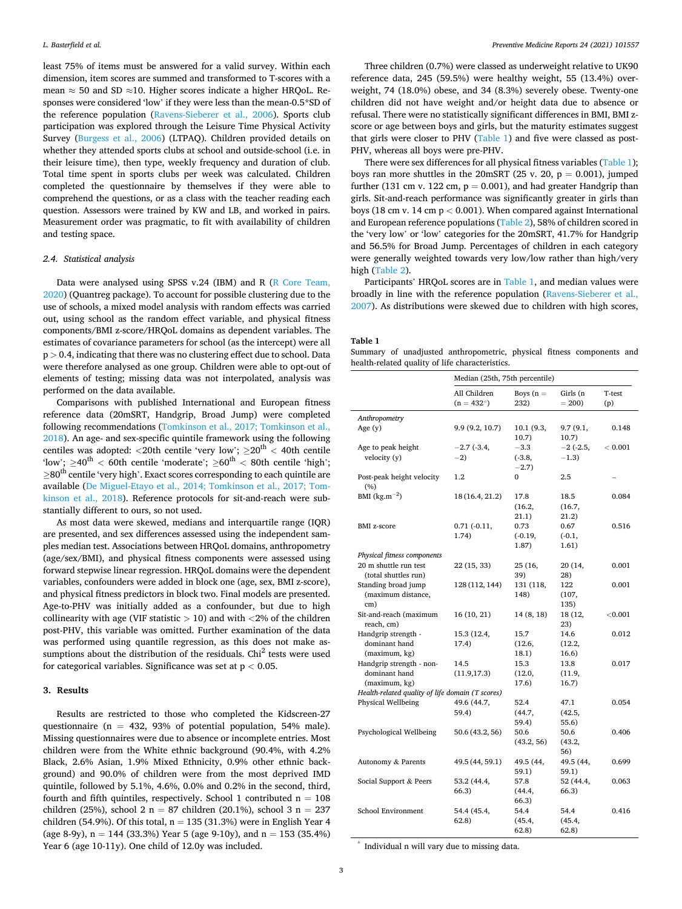least 75% of items must be answered for a valid survey. Within each dimension, item scores are summed and transformed to T-scores with a mean  $\approx$  50 and SD  $\approx$ 10. Higher scores indicate a higher HRQoL. Responses were considered 'low' if they were less than the mean-0.5\*SD of the reference population ([Ravens-Sieberer et al., 2006\)](#page-6-0). Sports club participation was explored through the Leisure Time Physical Activity Survey [\(Burgess et al., 2006](#page-5-0)) (LTPAQ). Children provided details on whether they attended sports clubs at school and outside-school (i.e. in their leisure time), then type, weekly frequency and duration of club. Total time spent in sports clubs per week was calculated. Children completed the questionnaire by themselves if they were able to comprehend the questions, or as a class with the teacher reading each question. Assessors were trained by KW and LB, and worked in pairs. Measurement order was pragmatic, to fit with availability of children and testing space.

### *2.4. Statistical analysis*

Data were analysed using SPSS v.24 (IBM) and R [\(R Core Team,](#page-6-0)  [2020\)](#page-6-0) (Quantreg package). To account for possible clustering due to the use of schools, a mixed model analysis with random effects was carried out, using school as the random effect variable, and physical fitness components/BMI z-score/HRQoL domains as dependent variables. The estimates of covariance parameters for school (as the intercept) were all p *>* 0.4, indicating that there was no clustering effect due to school. Data were therefore analysed as one group. Children were able to opt-out of elements of testing; missing data was not interpolated, analysis was performed on the data available.

Comparisons with published International and European fitness reference data (20mSRT, Handgrip, Broad Jump) were completed following recommendations [\(Tomkinson et al., 2017; Tomkinson et al.,](#page-6-0)  [2018\)](#page-6-0). An age- and sex-specific quintile framework using the following centiles was adopted: *<*20th centile 'very low'; ≥20th *<* 40th centile 'low'; ≥40th *<* 60th centile 'moderate'; ≥60th *<* 80th centile 'high';  $>$ 80<sup>th</sup> centile 'very high'. Exact scores corresponding to each quintile are available [\(De Miguel-Etayo et al., 2014; Tomkinson et al., 2017; Tom](#page-5-0)[kinson et al., 2018](#page-5-0)). Reference protocols for sit-and-reach were substantially different to ours, so not used.

As most data were skewed, medians and interquartile range (IQR) are presented, and sex differences assessed using the independent samples median test. Associations between HRQoL domains, anthropometry (age/sex/BMI), and physical fitness components were assessed using forward stepwise linear regression. HRQoL domains were the dependent variables, confounders were added in block one (age, sex, BMI z-score), and physical fitness predictors in block two. Final models are presented. Age-to-PHV was initially added as a confounder, but due to high collinearity with age (VIF statistic *>* 10) and with *<*2% of the children post-PHV, this variable was omitted. Further examination of the data was performed using quantile regression, as this does not make assumptions about the distribution of the residuals.  $\text{Chi}^2$  tests were used for categorical variables. Significance was set at p *<* 0.05.

### **3. Results**

Results are restricted to those who completed the Kidscreen-27 questionnaire (n = 432, 93% of potential population, 54% male). Missing questionnaires were due to absence or incomplete entries. Most children were from the White ethnic background (90.4%, with 4.2% Black, 2.6% Asian, 1.9% Mixed Ethnicity, 0.9% other ethnic background) and 90.0% of children were from the most deprived IMD quintile, followed by 5.1%, 4.6%, 0.0% and 0.2% in the second, third, fourth and fifth quintiles, respectively. School 1 contributed  $n = 108$ children (25%), school 2 n = 87 children (20.1%), school 3 n = 237 children (54.9%). Of this total,  $n = 135$  (31.3%) were in English Year 4 (age 8-9y),  $n = 144$  (33.3%) Year 5 (age 9-10y), and  $n = 153$  (35.4%) Year 6 (age 10-11y). One child of 12.0y was included.

Three children (0.7%) were classed as underweight relative to UK90 reference data, 245 (59.5%) were healthy weight, 55 (13.4%) overweight, 74 (18.0%) obese, and 34 (8.3%) severely obese. Twenty-one children did not have weight and/or height data due to absence or refusal. There were no statistically significant differences in BMI, BMI zscore or age between boys and girls, but the maturity estimates suggest that girls were closer to PHV (Table 1) and five were classed as post-PHV, whereas all boys were pre-PHV.

There were sex differences for all physical fitness variables (Table 1); boys ran more shuttles in the 20mSRT (25 v. 20,  $p = 0.001$ ), jumped further (131 cm v. 122 cm,  $p = 0.001$ ), and had greater Handgrip than girls. Sit-and-reach performance was significantly greater in girls than boys (18 cm v. 14 cm p *<* 0.001). When compared against International and European reference populations ([Table 2\)](#page-3-0), 58% of children scored in the 'very low' or 'low' categories for the 20mSRT, 41.7% for Handgrip and 56.5% for Broad Jump. Percentages of children in each category were generally weighted towards very low/low rather than high/very high ([Table 2](#page-3-0)).

Participants' HRQoL scores are in Table 1, and median values were broadly in line with the reference population [\(Ravens-Sieberer et al.,](#page-6-0)  [2007\)](#page-6-0). As distributions were skewed due to children with high scores,

### **Table 1**

Summary of unadjusted anthropometric, physical fitness components and health-related quality of life characteristics.

|                                                  | Median (25th, 75th percentile) |                         |                         |               |
|--------------------------------------------------|--------------------------------|-------------------------|-------------------------|---------------|
|                                                  | All Children<br>$(n = 432^*)$  | Boys $(n =$<br>232)     | Girls (n<br>$= 200$     | T-test<br>(p) |
| Anthropometry                                    |                                |                         |                         |               |
| Age $(y)$                                        | 9.9 (9.2, 10.7)                | 10.1 (9.3,<br>10.7)     | 9.7 (9.1,<br>10.7)      | 0.148         |
| Age to peak height<br>velocity (y)               | $-2.7$ ( $-3.4$ )<br>$-2)$     | $-3.3$<br>$(-3.8,$      | $-2$ (-2.5,<br>$-1.3)$  | < 0.001       |
| Post-peak height velocity                        | 1.2                            | $-2.7$<br>0             | 2.5                     |               |
| (%)                                              |                                |                         |                         |               |
| BMI $(kg.m^{-2})$                                | 18 (16.4, 21.2)                | 17.8<br>(16.2,<br>21.1) | 18.5<br>(16.7,<br>21.2) | 0.084         |
| <b>BMI</b> z-score                               | $0.71(-0.11,$<br>1.74)         | 0.73<br>$(-0.19,$       | 0.67<br>$(-0.1,$        | 0.516         |
|                                                  |                                | 1.87)                   | 1.61)                   |               |
| Physical fitness components                      |                                |                         |                         |               |
| 20 m shuttle run test<br>(total shuttles run)    | 22 (15, 33)                    | 25 (16,<br>39)          | 20 (14,<br>28)          | 0.001         |
| Standing broad jump<br>(maximum distance,        | 128 (112, 144)                 | 131 (118,<br>148)       | 122<br>(107,            | 0.001         |
| cm)                                              |                                |                         | 135)                    |               |
| Sit-and-reach (maximum<br>reach, cm)             | 16 (10, 21)                    | 14(8, 18)               | 18 (12,<br>23)          | ${<}0.001$    |
| Handgrip strength -                              | 15.3 (12.4,                    | 15.7                    | 14.6                    | 0.012         |
| dominant hand                                    | 17.4)                          | (12.6,                  | (12.2,                  |               |
| (maximum, kg)                                    |                                | 18.1)                   | 16.6)                   |               |
| Handgrip strength - non-                         | 14.5                           | 15.3                    | 13.8                    | 0.017         |
| dominant hand                                    | (11.9, 17.3)                   | (12.0,                  | (11.9,                  |               |
| (maximum, kg)                                    |                                | 17.6)                   | 16.7)                   |               |
| Health-related quality of life domain (T scores) |                                |                         |                         |               |
| Physical Wellbeing                               | 49.6 (44.7,                    | 52.4                    | 47.1                    | 0.054         |
|                                                  | 59.4)                          | (44.7,                  | (42.5,                  |               |
|                                                  |                                | 59.4)<br>50.6           | 55.6)<br>50.6           | 0.406         |
| Psychological Wellbeing                          | 50.6 (43.2, 56)                | (43.2, 56)              | (43.2,<br>56)           |               |
| Autonomy & Parents                               | 49.5 (44, 59.1)                | 49.5 (44,<br>59.1)      | 49.5 (44,<br>59.1)      | 0.699         |
| Social Support & Peers                           | 53.2 (44.4,<br>66.3)           | 57.8<br>(44.4,          | 52 (44.4,<br>66.3)      | 0.063         |
|                                                  |                                | 66.3)                   |                         |               |
| School Environment                               | 54.4 (45.4,                    | 54.4                    | 54.4                    | 0.416         |
|                                                  | 62.8)                          | (45.4,                  | (45.4,                  |               |
|                                                  |                                | 62.8)                   | 62.8                    |               |

Individual n will vary due to missing data.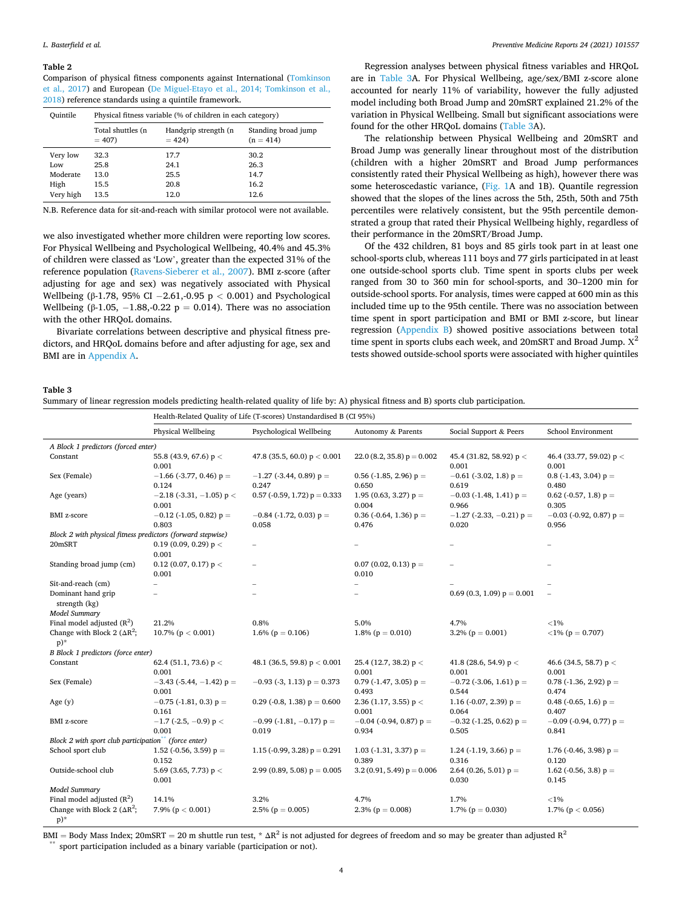#### <span id="page-3-0"></span>**Table 2**

Comparison of physical fitness components against International [\(Tomkinson](#page-6-0)  [et al., 2017\)](#page-6-0) and European ([De Miguel-Etayo et al., 2014; Tomkinson et al.,](#page-5-0)  [2018\)](#page-5-0) reference standards using a quintile framework.

| Ouintile  | Physical fitness variable (% of children in each category) |                                 |                                    |  |  |
|-----------|------------------------------------------------------------|---------------------------------|------------------------------------|--|--|
|           | Total shuttles (n<br>$= 407$                               | Handgrip strength (n<br>$= 424$ | Standing broad jump<br>$(n = 414)$ |  |  |
| Very low  | 32.3                                                       | 17.7                            | 30.2                               |  |  |
| Low       | 25.8                                                       | 24.1                            | 26.3                               |  |  |
| Moderate  | 13.0                                                       | 25.5                            | 14.7                               |  |  |
| High      | 15.5                                                       | 20.8                            | 16.2                               |  |  |
| Very high | 13.5                                                       | 12.0                            | 12.6                               |  |  |

N.B. Reference data for sit-and-reach with similar protocol were not available.

we also investigated whether more children were reporting low scores. For Physical Wellbeing and Psychological Wellbeing, 40.4% and 45.3% of children were classed as 'Low', greater than the expected 31% of the reference population ([Ravens-Sieberer et al., 2007\)](#page-6-0). BMI z-score (after adjusting for age and sex) was negatively associated with Physical Wellbeing (β-1.78, 95% CI − 2.61,-0.95 p *<* 0.001) and Psychological Wellbeing (β-1.05, -1.88,-0.22 p = 0.014). There was no association with the other HRQoL domains.

Bivariate correlations between descriptive and physical fitness predictors, and HRQoL domains before and after adjusting for age, sex and BMI are in Appendix A.

Regression analyses between physical fitness variables and HRQoL are in Table 3A. For Physical Wellbeing, age/sex/BMI z-score alone accounted for nearly 11% of variability, however the fully adjusted model including both Broad Jump and 20mSRT explained 21.2% of the variation in Physical Wellbeing. Small but significant associations were found for the other HRQoL domains (Table 3A).

The relationship between Physical Wellbeing and 20mSRT and Broad Jump was generally linear throughout most of the distribution (children with a higher 20mSRT and Broad Jump performances consistently rated their Physical Wellbeing as high), however there was some heteroscedastic variance, ([Fig. 1A](#page-4-0) and 1B). Quantile regression showed that the slopes of the lines across the 5th, 25th, 50th and 75th percentiles were relatively consistent, but the 95th percentile demonstrated a group that rated their Physical Wellbeing highly, regardless of their performance in the 20mSRT/Broad Jump.

Of the 432 children, 81 boys and 85 girls took part in at least one school-sports club, whereas 111 boys and 77 girls participated in at least one outside-school sports club. Time spent in sports clubs per week ranged from 30 to 360 min for school-sports, and 30–1200 min for outside-school sports. For analysis, times were capped at 600 min as this included time up to the 95th centile. There was no association between time spent in sport participation and BMI or BMI z-score, but linear regression (Appendix B) showed positive associations between total time spent in sports clubs each week, and 20mSRT and Broad Jump.  $X^2$ tests showed outside-school sports were associated with higher quintiles

### **Table 3**

| Summary of linear regression models predicting health-related quality of life by: A) physical fitness and B) sports club participation. |  |  |
|-----------------------------------------------------------------------------------------------------------------------------------------|--|--|
|                                                                                                                                         |  |  |
|                                                                                                                                         |  |  |
|                                                                                                                                         |  |  |

Health-Related Quality of Life (T-scores) Unstandardised B (CI 95%)

|                                                                   | Physical Wellbeing                         | Psychological Wellbeing                | Autonomy & Parents                  | Social Support & Peers               | School Environment                 |  |  |
|-------------------------------------------------------------------|--------------------------------------------|----------------------------------------|-------------------------------------|--------------------------------------|------------------------------------|--|--|
| A Block 1 predictors (forced enter)                               |                                            |                                        |                                     |                                      |                                    |  |  |
| Constant                                                          | 55.8 (43.9, 67.6) $p <$<br>0.001           | 47.8 (35.5, 60.0) $p < 0.001$          | 22.0 (8.2, 35.8) $p = 0.002$        | 45.4 (31.82, 58.92) $p <$<br>0.001   | 46.4 (33.77, 59.02) $p <$<br>0.001 |  |  |
| Sex (Female)                                                      | $-1.66$ (-3.77, 0.46) p =<br>0.124         | $-1.27$ (-3.44, 0.89) p =<br>0.247     | 0.56 (-1.85, 2.96) $p =$<br>0.650   | $-0.61$ (-3.02, 1.8) p =<br>0.619    | $0.8$ (-1.43, 3.04) $p =$<br>0.480 |  |  |
| Age (years)                                                       | $-2.18$ (-3.31, -1.05) p <<br>0.001        | $0.57$ (-0.59, 1.72) $p = 0.333$       | 1.95 (0.63, 3.27) $p =$<br>0.004    | $-0.03$ (-1.48, 1.41) $p =$<br>0.966 | 0.62 (-0.57, 1.8) $p =$<br>0.305   |  |  |
| <b>BMI</b> z-score                                                | $-0.12$ (-1.05, 0.82) p =<br>0.803         | $-0.84$ (-1.72, 0.03) p =<br>0.058     | 0.36 (-0.64, 1.36) $p =$<br>0.476   | $-1.27$ (-2.33, -0.21) p =<br>0.020  | $-0.03$ (-0.92, 0.87) p =<br>0.956 |  |  |
| Block 2 with physical fitness predictors (forward stepwise)       |                                            |                                        |                                     |                                      |                                    |  |  |
| 20mSRT                                                            | 0.19 (0.09, 0.29) $p <$<br>0.001           | $\overline{\phantom{a}}$               | -                                   |                                      |                                    |  |  |
| Standing broad jump (cm)                                          | 0.12 (0.07, 0.17) $p <$<br>0.001           |                                        | $0.07$ (0.02, 0.13) $p =$<br>0.010  |                                      |                                    |  |  |
| Sit-and-reach (cm)                                                | $\overline{a}$                             |                                        | $\overline{\phantom{0}}$            |                                      |                                    |  |  |
| Dominant hand grip<br>strength (kg)                               |                                            |                                        |                                     | $0.69(0.3, 1.09) p = 0.001$          |                                    |  |  |
| <b>Model Summary</b>                                              |                                            |                                        |                                     |                                      |                                    |  |  |
| Final model adjusted $(R2)$                                       | 21.2%                                      | 0.8%                                   | 5.0%                                | 4.7%                                 | ${<}1\%$                           |  |  |
| Change with Block 2 ( $\Delta R^2$ ;<br>$p)$ *                    | 10.7% ( $p < 0.001$ )                      | $1.6\%$ (p = 0.106)                    | 1.8% ( $p = 0.010$ )                | $3.2\%$ (p = 0.001)                  | $<$ 1% (p = 0.707)                 |  |  |
| B Block 1 predictors (force enter)                                |                                            |                                        |                                     |                                      |                                    |  |  |
| Constant                                                          | 62.4 (51.1, 73.6) p <<br>0.001             | 48.1 (36.5, 59.8) $p < 0.001$          | 25.4 (12.7, 38.2) $p <$<br>0.001    | 41.8 (28.6, 54.9) $p <$<br>0.001     | 46.6 (34.5, 58.7) $p <$<br>0.001   |  |  |
| Sex (Female)                                                      | $-3.43$ ( $-5.44$ , $-1.42$ ) p =<br>0.001 | $-0.93$ (-3, 1.13) $p = 0.373$         | $0.79$ (-1.47, 3.05) $p =$<br>0.493 | $-0.72$ (-3.06, 1.61) p =<br>0.544   | $0.78$ (-1.36, 2.92) p =<br>0.474  |  |  |
| Age $(y)$                                                         | $-0.75$ (-1.81, 0.3) p =<br>0.161          | 0.29 (-0.8, 1.38) $p = 0.600$          | 2.36 (1.17, 3.55) $p <$<br>0.001    | 1.16 (-0.07, 2.39) $p =$<br>0.064    | 0.48 (-0.65, 1.6) $p =$<br>0.407   |  |  |
| BMI z-score                                                       | $-1.7$ (-2.5, -0.9) p <<br>0.001           | $-0.99$ (-1.81, $-0.17$ ) p =<br>0.019 | $-0.04$ (-0.94, 0.87) p =<br>0.934  | $-0.32$ (-1.25, 0.62) p =<br>0.505   | $-0.09$ (-0.94, 0.77) p =<br>0.841 |  |  |
| Block 2 with sport club participation <sup>**</sup> (force enter) |                                            |                                        |                                     |                                      |                                    |  |  |
| School sport club                                                 | 1.52 (-0.56, 3.59) $p =$<br>0.152          | 1.15 (-0.99, 3.28) $p = 0.291$         | $1.03$ (-1.31, 3.37) $p =$<br>0.389 | 1.24 (-1.19, 3.66) $p =$<br>0.316    | 1.76 (-0.46, 3.98) $p =$<br>0.120  |  |  |
| Outside-school club                                               | 5.69 (3.65, 7.73) $p <$<br>0.001           | 2.99 (0.89, 5.08) $p = 0.005$          | $3.2(0.91, 5.49) p = 0.006$         | 2.64 (0.26, 5.01) $p =$<br>0.030     | 1.62 (-0.56, 3.8) $p =$<br>0.145   |  |  |
| Model Summary                                                     |                                            |                                        |                                     |                                      |                                    |  |  |
| Final model adjusted $(R2)$                                       | 14.1%                                      | 3.2%                                   | 4.7%                                | 1.7%                                 | ${<}1\%$                           |  |  |
| Change with Block 2 ( $\Delta R^2$ ;<br>$p)$ *                    | 7.9% ( $p < 0.001$ )                       | 2.5% ( $p = 0.005$ )                   | 2.3% ( $p = 0.008$ )                | 1.7% ( $p = 0.030$ )                 | 1.7% ( $p < 0.056$ )               |  |  |

BMI = Body Mass Index; 20mSRT = 20 m shuttle run test, \*  $\Delta R^2$  is not adjusted for degrees of freedom and so may be greater than adjusted  $R^2$ sport participation included as a binary variable (participation or not).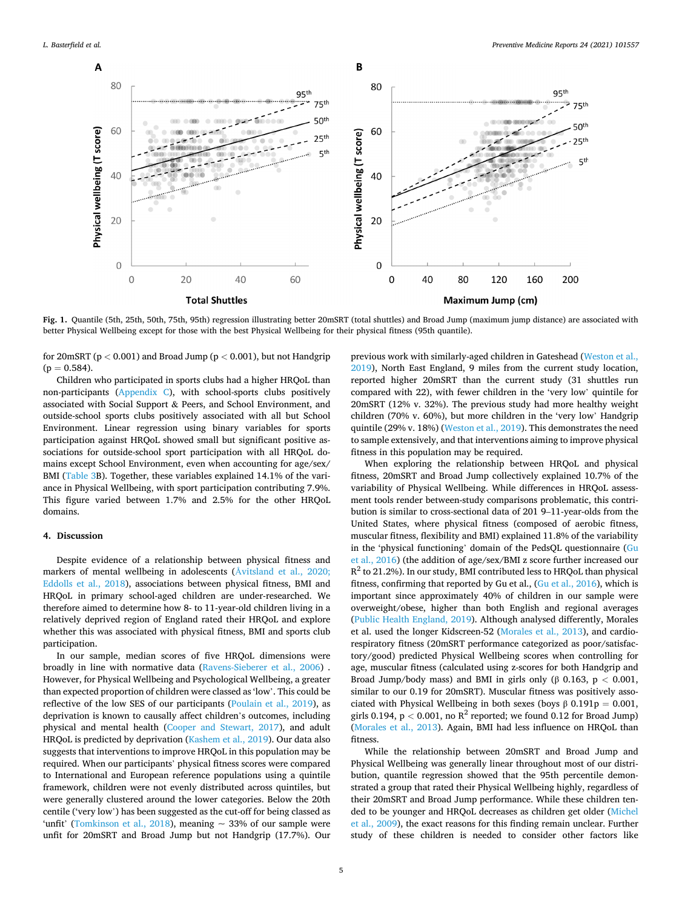<span id="page-4-0"></span>

**Fig. 1.** Quantile (5th, 25th, 50th, 75th, 95th) regression illustrating better 20mSRT (total shuttles) and Broad Jump (maximum jump distance) are associated with better Physical Wellbeing except for those with the best Physical Wellbeing for their physical fitness (95th quantile).

for 20mSRT (p *<* 0.001) and Broad Jump (p *<* 0.001), but not Handgrip  $(p = 0.584)$ .

Children who participated in sports clubs had a higher HRQoL than non-participants (Appendix C), with school-sports clubs positively associated with Social Support & Peers, and School Environment, and outside-school sports clubs positively associated with all but School Environment. Linear regression using binary variables for sports participation against HRQoL showed small but significant positive associations for outside-school sport participation with all HRQoL domains except School Environment, even when accounting for age/sex/ BMI [\(Table 3B](#page-3-0)). Together, these variables explained 14.1% of the variance in Physical Wellbeing, with sport participation contributing 7.9%. This figure varied between 1.7% and 2.5% for the other HRQoL domains.

### **4. Discussion**

Despite evidence of a relationship between physical fitness and markers of mental wellbeing in adolescents (Å[vitsland et al., 2020;](#page-5-0)  [Eddolls et al., 2018](#page-5-0)), associations between physical fitness, BMI and HRQoL in primary school-aged children are under-researched. We therefore aimed to determine how 8- to 11-year-old children living in a relatively deprived region of England rated their HRQoL and explore whether this was associated with physical fitness, BMI and sports club participation.

In our sample, median scores of five HRQoL dimensions were broadly in line with normative data ([Ravens-Sieberer et al., 2006\)](#page-6-0) . However, for Physical Wellbeing and Psychological Wellbeing, a greater than expected proportion of children were classed as 'low'. This could be reflective of the low SES of our participants [\(Poulain et al., 2019](#page-6-0)), as deprivation is known to causally affect children's outcomes, including physical and mental health ([Cooper and Stewart, 2017\)](#page-5-0), and adult HRQoL is predicted by deprivation ([Kashem et al., 2019](#page-6-0)). Our data also suggests that interventions to improve HRQoL in this population may be required. When our participants' physical fitness scores were compared to International and European reference populations using a quintile framework, children were not evenly distributed across quintiles, but were generally clustered around the lower categories. Below the 20th centile ('very low') has been suggested as the cut-off for being classed as 'unfit' [\(Tomkinson et al., 2018\)](#page-6-0), meaning  $\sim$  33% of our sample were unfit for 20mSRT and Broad Jump but not Handgrip (17.7%). Our

previous work with similarly-aged children in Gateshead [\(Weston et al.,](#page-6-0)  [2019\)](#page-6-0), North East England, 9 miles from the current study location, reported higher 20mSRT than the current study (31 shuttles run compared with 22), with fewer children in the 'very low' quintile for 20mSRT (12% v. 32%). The previous study had more healthy weight children (70% v. 60%), but more children in the 'very low' Handgrip quintile (29% v. 18%) [\(Weston et al., 2019](#page-6-0)). This demonstrates the need to sample extensively, and that interventions aiming to improve physical fitness in this population may be required.

When exploring the relationship between HRQoL and physical fitness, 20mSRT and Broad Jump collectively explained 10.7% of the variability of Physical Wellbeing. While differences in HRQoL assessment tools render between-study comparisons problematic, this contribution is similar to cross-sectional data of 201 9–11-year-olds from the United States, where physical fitness (composed of aerobic fitness, muscular fitness, flexibility and BMI) explained 11.8% of the variability in the 'physical functioning' domain of the PedsQL questionnaire ([Gu](#page-6-0)  [et al., 2016\)](#page-6-0) (the addition of age/sex/BMI z score further increased our  $R^2$  to 21.2%). In our study, BMI contributed less to HRQoL than physical fitness, confirming that reported by Gu et al., ([Gu et al., 2016](#page-6-0)), which is important since approximately 40% of children in our sample were overweight/obese, higher than both English and regional averages ([Public Health England, 2019\)](#page-6-0). Although analysed differently, Morales et al. used the longer Kidscreen-52 [\(Morales et al., 2013](#page-6-0)), and cardiorespiratory fitness (20mSRT performance categorized as poor/satisfactory/good) predicted Physical Wellbeing scores when controlling for age, muscular fitness (calculated using z-scores for both Handgrip and Broad Jump/body mass) and BMI in girls only (β 0.163, p *<* 0.001, similar to our 0.19 for 20mSRT). Muscular fitness was positively associated with Physical Wellbeing in both sexes (boys  $\beta$  0.191p = 0.001, girls 0.194,  $p < 0.001$ , no  $R^2$  reported; we found 0.12 for Broad Jump) ([Morales et al., 2013](#page-6-0)). Again, BMI had less influence on HRQoL than fitness.

While the relationship between 20mSRT and Broad Jump and Physical Wellbeing was generally linear throughout most of our distribution, quantile regression showed that the 95th percentile demonstrated a group that rated their Physical Wellbeing highly, regardless of their 20mSRT and Broad Jump performance. While these children tended to be younger and HRQoL decreases as children get older ([Michel](#page-6-0)  [et al., 2009\)](#page-6-0), the exact reasons for this finding remain unclear. Further study of these children is needed to consider other factors like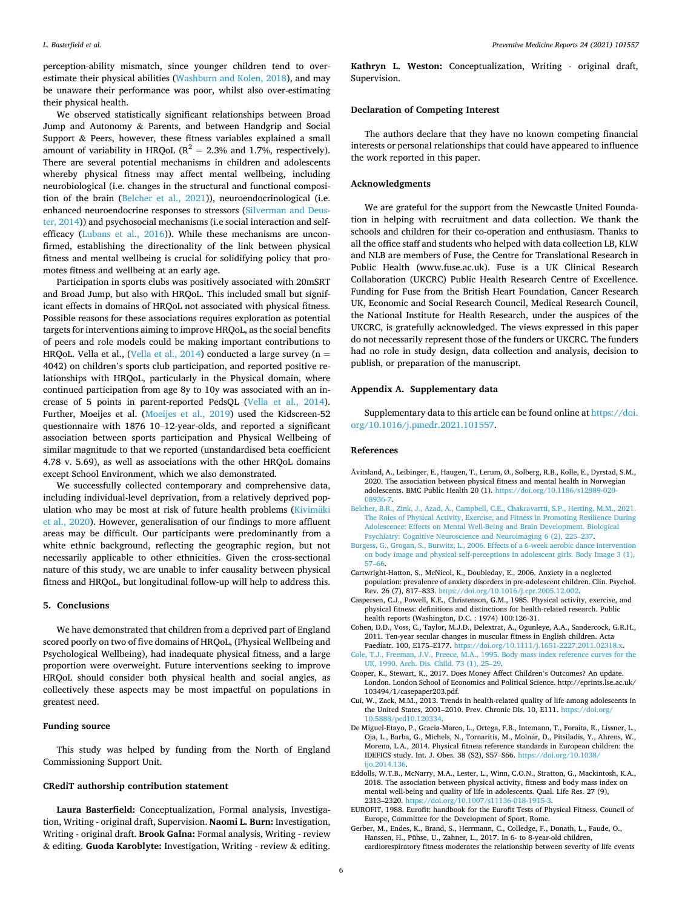<span id="page-5-0"></span>perception-ability mismatch, since younger children tend to overestimate their physical abilities ([Washburn and Kolen, 2018](#page-6-0)), and may be unaware their performance was poor, whilst also over-estimating their physical health.

We observed statistically significant relationships between Broad Jump and Autonomy & Parents, and between Handgrip and Social Support & Peers, however, these fitness variables explained a small amount of variability in HRQoL ( $R^2 = 2.3$ % and 1.7%, respectively). There are several potential mechanisms in children and adolescents whereby physical fitness may affect mental wellbeing, including neurobiological (i.e. changes in the structural and functional composition of the brain (Belcher et al., 2021)), neuroendocrinological (i.e. enhanced neuroendocrine responses to stressors ([Silverman and Deus](#page-6-0)[ter, 2014](#page-6-0))) and psychosocial mechanisms (i.e social interaction and selfefficacy ([Lubans et al., 2016\)](#page-6-0)). While these mechanisms are unconfirmed, establishing the directionality of the link between physical fitness and mental wellbeing is crucial for solidifying policy that promotes fitness and wellbeing at an early age.

Participation in sports clubs was positively associated with 20mSRT and Broad Jump, but also with HRQoL. This included small but significant effects in domains of HRQoL not associated with physical fitness. Possible reasons for these associations requires exploration as potential targets for interventions aiming to improve HRQoL, as the social benefits of peers and role models could be making important contributions to HRQoL. Vella et al., [\(Vella et al., 2014](#page-6-0)) conducted a large survey ( $n =$ 4042) on children's sports club participation, and reported positive relationships with HRQoL, particularly in the Physical domain, where continued participation from age 8y to 10y was associated with an increase of 5 points in parent-reported PedsQL [\(Vella et al., 2014](#page-6-0)). Further, Moeijes et al. ([Moeijes et al., 2019\)](#page-6-0) used the Kidscreen-52 questionnaire with 1876 10–12-year-olds, and reported a significant association between sports participation and Physical Wellbeing of similar magnitude to that we reported (unstandardised beta coefficient 4.78 v. 5.69), as well as associations with the other HRQoL domains except School Environment, which we also demonstrated.

We successfully collected contemporary and comprehensive data, including individual-level deprivation, from a relatively deprived pop-ulation who may be most at risk of future health problems [\(Kivim](#page-6-0)äki [et al., 2020](#page-6-0)). However, generalisation of our findings to more affluent areas may be difficult. Our participants were predominantly from a white ethnic background, reflecting the geographic region, but not necessarily applicable to other ethnicities. Given the cross-sectional nature of this study, we are unable to infer causality between physical fitness and HRQoL, but longitudinal follow-up will help to address this.

### **5. Conclusions**

We have demonstrated that children from a deprived part of England scored poorly on two of five domains of HRQoL, (Physical Wellbeing and Psychological Wellbeing), had inadequate physical fitness, and a large proportion were overweight. Future interventions seeking to improve HRQoL should consider both physical health and social angles, as collectively these aspects may be most impactful on populations in greatest need.

### **Funding source**

This study was helped by funding from the North of England Commissioning Support Unit.

### **CRediT authorship contribution statement**

**Laura Basterfield:** Conceptualization, Formal analysis, Investigation, Writing - original draft, Supervision. **Naomi L. Burn:** Investigation, Writing - original draft. **Brook Galna:** Formal analysis, Writing - review & editing. **Guoda Karoblyte:** Investigation, Writing - review & editing.

**Kathryn L. Weston:** Conceptualization, Writing - original draft, Supervision.

### **Declaration of Competing Interest**

The authors declare that they have no known competing financial interests or personal relationships that could have appeared to influence the work reported in this paper.

### **Acknowledgments**

We are grateful for the support from the Newcastle United Foundation in helping with recruitment and data collection. We thank the schools and children for their co-operation and enthusiasm. Thanks to all the office staff and students who helped with data collection LB, KLW and NLB are members of Fuse, the Centre for Translational Research in Public Health (www.fuse.ac.uk). Fuse is a UK Clinical Research Collaboration (UKCRC) Public Health Research Centre of Excellence. Funding for Fuse from the British Heart Foundation, Cancer Research UK, Economic and Social Research Council, Medical Research Council, the National Institute for Health Research, under the auspices of the UKCRC, is gratefully acknowledged. The views expressed in this paper do not necessarily represent those of the funders or UKCRC. The funders had no role in study design, data collection and analysis, decision to publish, or preparation of the manuscript.

#### **Appendix A. Supplementary data**

Supplementary data to this article can be found online at [https://doi.](https://doi.org/10.1016/j.pmedr.2021.101557)  [org/10.1016/j.pmedr.2021.101557.](https://doi.org/10.1016/j.pmedr.2021.101557)

#### **References**

- Åvitsland, A., Leibinger, E., Haugen, T., Lerum, Ø., Solberg, R.B., Kolle, E., Dyrstad, S.M., 2020. The association between physical fitness and mental health in Norwegian adolescents. BMC Public Health 20 (1). [https://doi.org/10.1186/s12889-020-](https://doi.org/10.1186/s12889-020-08936-7)  [08936-7](https://doi.org/10.1186/s12889-020-08936-7).
- [Belcher, B.R., Zink, J., Azad, A., Campbell, C.E., Chakravartti, S.P., Herting, M.M., 2021.](http://refhub.elsevier.com/S2211-3355(21)00247-3/h0010)  [The Roles of Physical Activity, Exercise, and Fitness in Promoting Resilience During](http://refhub.elsevier.com/S2211-3355(21)00247-3/h0010)  [Adolescence: Effects on Mental Well-Being and Brain Development. Biological](http://refhub.elsevier.com/S2211-3355(21)00247-3/h0010)  [Psychiatry: Cognitive Neuroscience and Neuroimaging 6 \(2\), 225](http://refhub.elsevier.com/S2211-3355(21)00247-3/h0010)–237.
- [Burgess, G., Grogan, S., Burwitz, L., 2006. Effects of a 6-week aerobic dance intervention](http://refhub.elsevier.com/S2211-3355(21)00247-3/h0015)  [on body image and physical self-perceptions in adolescent girls. Body Image 3 \(1\),](http://refhub.elsevier.com/S2211-3355(21)00247-3/h0015)  57–[66](http://refhub.elsevier.com/S2211-3355(21)00247-3/h0015).
- Cartwright-Hatton, S., McNicol, K., Doubleday, E., 2006. Anxiety in a neglected population: prevalence of anxiety disorders in pre-adolescent children. Clin. Psychol. Rev. 26 (7), 817–833.<https://doi.org/10.1016/j.cpr.2005.12.002>.
- Caspersen, C.J., Powell, K.E., Christenson, G.M., 1985. Physical activity, exercise, and physical fitness: definitions and distinctions for health-related research. Public health reports (Washington, D.C. : 1974) 100:126-31.
- Cohen, D.D., Voss, C., Taylor, M.J.D., Delextrat, A., Ogunleye, A.A., Sandercock, G.R.H., 2011. Ten-year secular changes in muscular fitness in English children. Acta Paediatr. 100, E175–E177. [https://doi.org/10.1111/j.1651-2227.2011.02318.x.](https://doi.org/10.1111/j.1651-2227.2011.02318.x)
- [Cole, T.J., Freeman, J.V., Preece, M.A., 1995. Body mass index reference curves for the](http://refhub.elsevier.com/S2211-3355(21)00247-3/h0035)  [UK, 1990. Arch. Dis. Child. 73 \(1\), 25](http://refhub.elsevier.com/S2211-3355(21)00247-3/h0035)–29.
- Cooper, K., Stewart, K., 2017. Does Money Affect Children's Outcomes? An update. London. London School of Economics and Political Science. http://eprints.lse.ac.uk/ 103494/1/casepaper203.pdf.
- Cui, W., Zack, M.M., 2013. Trends in health-related quality of life among adolescents in the United States, 2001–2010. Prev. Chronic Dis. 10, E111. [https://doi.org/](https://doi.org/10.5888/pcd10.120334)  [10.5888/pcd10.120334.](https://doi.org/10.5888/pcd10.120334)
- De Miguel-Etayo, P., Gracia-Marco, L., Ortega, F.B., Intemann, T., Foraita, R., Lissner, L., Oja, L., Barba, G., Michels, N., Tornaritis, M., Molnár, D., Pitsiladis, Y., Ahrens, W., Moreno, L.A., 2014. Physical fitness reference standards in European children: the IDEFICS study. Int. J. Obes. 38 (S2), S57–S66. [https://doi.org/10.1038/](https://doi.org/10.1038/ijo.2014.136) ijo.2014.136
- Eddolls, W.T.B., McNarry, M.A., Lester, L., Winn, C.O.N., Stratton, G., Mackintosh, K.A., 2018. The association between physical activity, fitness and body mass index on mental well-being and quality of life in adolescents. Qual. Life Res. 27 (9), 2313–2320.<https://doi.org/10.1007/s11136-018-1915-3>.
- EUROFIT, 1988. Eurofit: handbook for the Eurofit Tests of Physical Fitness. Council of Europe, Committee for the Development of Sport, Rome.
- Gerber, M., Endes, K., Brand, S., Herrmann, C., Colledge, F., Donath, L., Faude, O., Hanssen, H., Pühse, U., Zahner, L., 2017. In 6- to 8-year-old children, cardiorespiratory fitness moderates the relationship between severity of life events